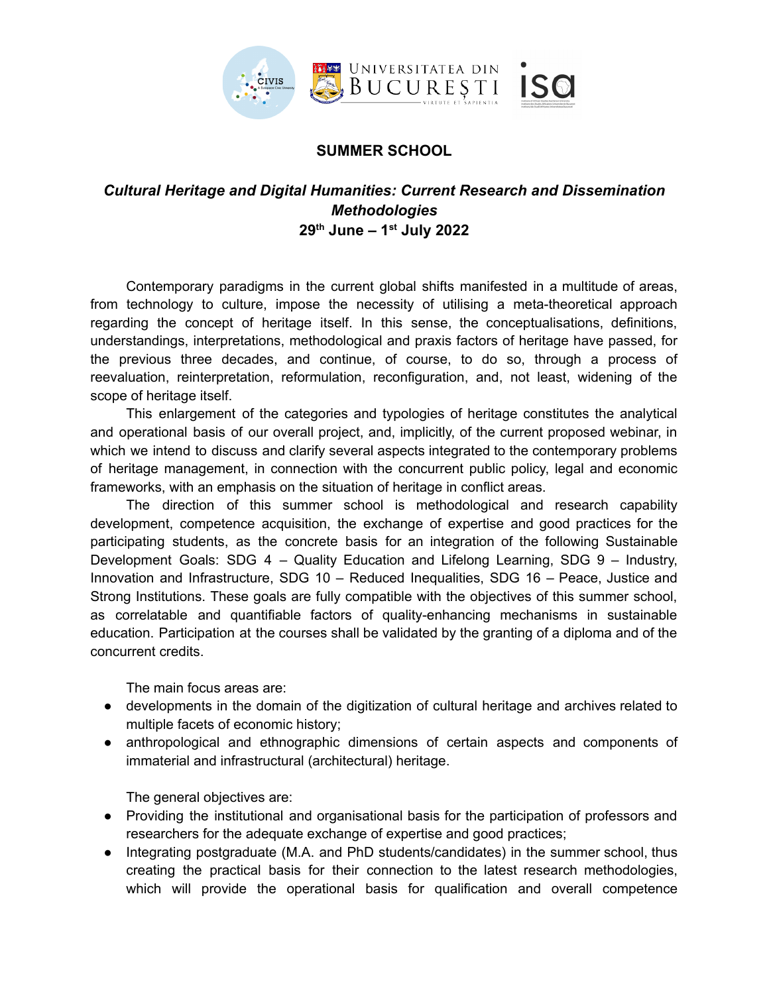

## **SUMMER SCHOOL**

## *Cultural Heritage and Digital Humanities: Current Research and Dissemination Methodologies* **29th June – 1st July 2022**

Contemporary paradigms in the current global shifts manifested in a multitude of areas, from technology to culture, impose the necessity of utilising a meta-theoretical approach regarding the concept of heritage itself. In this sense, the conceptualisations, definitions, understandings, interpretations, methodological and praxis factors of heritage have passed, for the previous three decades, and continue, of course, to do so, through a process of reevaluation, reinterpretation, reformulation, reconfiguration, and, not least, widening of the scope of heritage itself.

This enlargement of the categories and typologies of heritage constitutes the analytical and operational basis of our overall project, and, implicitly, of the current proposed webinar, in which we intend to discuss and clarify several aspects integrated to the contemporary problems of heritage management, in connection with the concurrent public policy, legal and economic frameworks, with an emphasis on the situation of heritage in conflict areas.

The direction of this summer school is methodological and research capability development, competence acquisition, the exchange of expertise and good practices for the participating students, as the concrete basis for an integration of the following Sustainable Development Goals: SDG 4 – Quality Education and Lifelong Learning, SDG 9 – Industry, Innovation and Infrastructure, SDG 10 – Reduced Inequalities, SDG 16 – Peace, Justice and Strong Institutions. These goals are fully compatible with the objectives of this summer school, as correlatable and quantifiable factors of quality-enhancing mechanisms in sustainable education. Participation at the courses shall be validated by the granting of a diploma and of the concurrent credits.

The main focus areas are:

- developments in the domain of the digitization of cultural heritage and archives related to multiple facets of economic history;
- anthropological and ethnographic dimensions of certain aspects and components of immaterial and infrastructural (architectural) heritage.

The general objectives are:

- Providing the institutional and organisational basis for the participation of professors and researchers for the adequate exchange of expertise and good practices;
- Integrating postgraduate (M.A. and PhD students/candidates) in the summer school, thus creating the practical basis for their connection to the latest research methodologies, which will provide the operational basis for qualification and overall competence